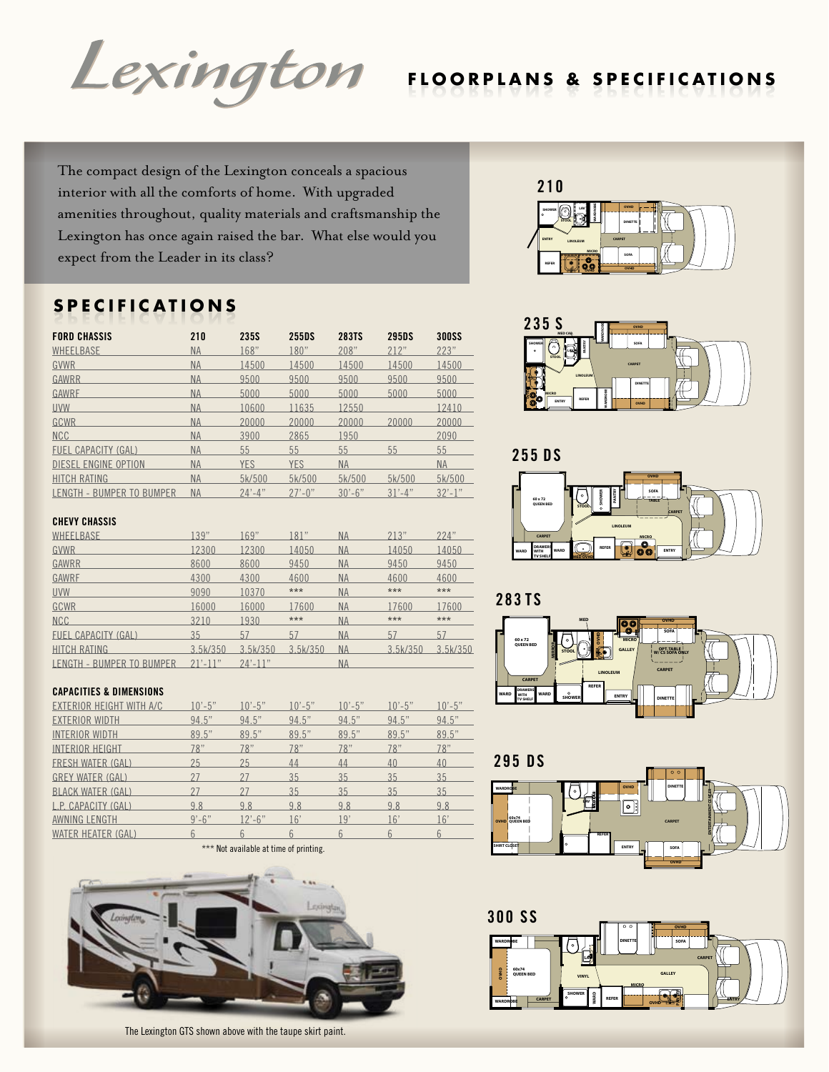

The compact design of the Lexington conceals a spacious interior with all the comforts of home. With upgraded amenities throughout, quality materials and craftsmanship the Lexington has once again raised the bar. What else would you expect from the Leader in its class?

# **S P E C I F I C A T I O N S**

| <b>FORD CHASSIS</b>        | 210       | 235S        | 255DS       | 283TS       | <b>295DS</b> | <b>300SS</b> |
|----------------------------|-----------|-------------|-------------|-------------|--------------|--------------|
| WHEELBASE                  | <b>NA</b> | 168"        | 180"        | 208"        | 212"         | 223"         |
| GVWR                       | <b>NA</b> | 14500       | 14500       | 14500       | 14500        | 14500        |
| GAWRR                      | <b>NA</b> | 9500        | 9500        | 9500        | 9500         | 9500         |
| GAWRF                      | <b>NA</b> | 5000        | 5000        | 5000        | 5000         | 5000         |
| <b>UVW</b>                 | <b>NA</b> | 10600       | 11635       | 12550       |              | 12410        |
| GCWR                       | <b>NA</b> | 20000       | 20000       | 20000       | 20000        | 20000        |
| <b>NCC</b>                 | <b>NA</b> | 3900        | 2865        | 1950        |              | 2090         |
| <b>FUEL CAPACITY (GAL)</b> | <b>NA</b> | 55          | 55          | 55          | 55           | 55           |
| DIESEL ENGINE OPTION       | <b>NA</b> | <b>YES</b>  | <b>YES</b>  | <b>NA</b>   |              | <b>NA</b>    |
| <b>HITCH RATING</b>        | <b>NA</b> | 5k/500      | 5k/500      | 5k/500      | 5k/500       | 5k/500       |
| LENGTH - BUMPER TO BUMPER  | <b>NA</b> | $24' - 4''$ | $27' - 0''$ | $30' - 6''$ | $31' - 4''$  | $32' - 1''$  |

#### **SHOWER STOOL ENTRY LINOLEUM REFER MICRO OVHD OVHD SOFA CARPET DINETTE OVHD WARDROBE LAV 210**



**255 DS**









# **CHEVY CHASSIS**

| WHEELBASE                  | .39"         | 169"         | 81"      | <b>NA</b> | 213"     | 224"     |
|----------------------------|--------------|--------------|----------|-----------|----------|----------|
| <b>GVWR</b>                | 12300        | 12300        | 14050    | <b>NA</b> | 14050    | 14050    |
| GAWRR                      | 8600         | 8600         | 9450     | <b>NA</b> | 9450     | 9450     |
| GAWRF                      | 4300         | 4300         | 4600     | <b>NA</b> | 4600     | 4600     |
| <b>UVW</b>                 | 9090         | 10370        | ***      | <b>NA</b> | $***$    | $***$    |
| GCWR                       | 16000        | 16000        | 17600    | <b>NA</b> | 17600    | 17600    |
| <b>NCC</b>                 | 3210         | 1930         | $***$    | <b>NA</b> | $***$    | $***$    |
| <b>FUEL CAPACITY (GAL)</b> | 35           | 57           | 57       | <b>NA</b> | 57       | 57       |
| <b>HITCH RATING</b>        | 3.5k/350     | 3.5k/350     | 3.5k/350 | <b>NA</b> | 3.5k/350 | 3.5k/350 |
| LENGTH - BUMPER TO BUMPER  | $21' - 11''$ | $24' - 11''$ |          | <b>NA</b> |          |          |
|                            |              |              |          |           |          |          |

### **CAPACITIES & DIMENSIONS**

| EXTERIOR HEIGHT WITH A/C | $10' - 5"$ | $10' - 5"$ | $10' - 5"$ | $10' - 5"$ | $10' - 5"$ | $10' - 5"$ |
|--------------------------|------------|------------|------------|------------|------------|------------|
| <b>EXTERIOR WIDTH</b>    | 94.5"      | 94.5"      | 94.5"      | 94.5"      | 94.5"      | 94.5"      |
| <b>INTERIOR WIDTH</b>    | 89.5"      | 89.5"      | 89.5"      | 89.5"      | 89.5"      | 89.5"      |
| <b>INTERIOR HEIGHT</b>   | 78"        | 78"        | 78"        | 78"        | 78"        | 78"        |
| FRESH WATER (GAL)        | 25         | 25         | 44         | 44         | 40         | 40         |
| <b>GREY WATER (GAL)</b>  | 27         | 27         | 35         | 35         | 35         | 35         |
| <b>BLACK WATER (GAL)</b> | 27         |            | 35         | 35         | 35         | 35         |
| L.P. CAPACITY (GAL)      | 9.8        | 9.8        | 9.8        | 9.8        | 9.8        | 9.8        |
| AWNING LENGTH            | $9' - 6''$ | $12 - 6$ " | 16'        | 19'        | 16'        | 16'        |
| WATER HEATER (GAL)       |            |            |            |            |            |            |

\*\*\* Not available at time of printing.



The Lexington GTS shown above with the taupe skirt paint.